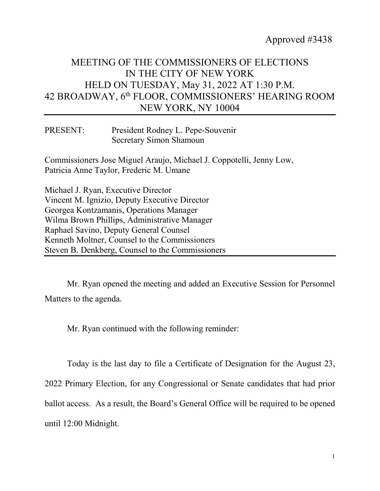## MEETING OF THE COMMISSIONERS OF ELECTIONS IN THE CITY OF NEW YORK HELD ON TUESDAY, May 31, 2022 AT 1:30 P.M. 42 BROADWAY, 6th FLOOR, COMMISSIONERS' HEARING ROOM NEW YORK, NY 10004

PRESENT: President Rodney L. Pepe-Souvenir Secretary Simon Shamoun

Commissioners Jose Miguel Araujo, Michael J. Coppotelli, Jenny Low, Patricia Anne Taylor, Frederic M. Umane

Michael J. Ryan, Executive Director Vincent M. Ignizio, Deputy Executive Director Georgea Kontzamanis, Operations Manager Wilma Brown Phillips, Administrative Manager Raphael Savino, Deputy General Counsel Kenneth Moltner, Counsel to the Commissioners Steven B. Denkberg, Counsel to the Commissioners

Mr. Ryan opened the meeting and added an Executive Session for Personnel Matters to the agenda.

Mr. Ryan continued with the following reminder:

Today is the last day to file a Certificate of Designation for the August 23,

2022 Primary Election, for any Congressional or Senate candidates that had prior

ballot access. As a result, the Board's General Office will be required to be opened

until 12:00 Midnight.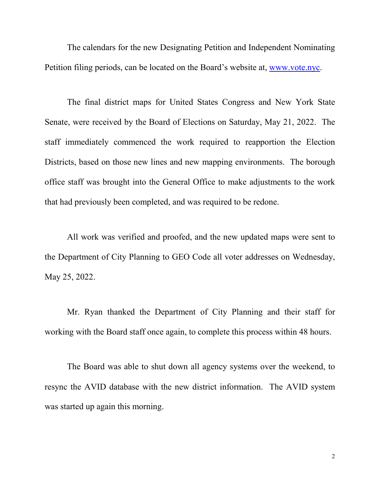The calendars for the new Designating Petition and Independent Nominating Petition filing periods, can be located on the Board's website at, [www.vote.nyc.](http://www.vote.nyc/)

The final district maps for United States Congress and New York State Senate, were received by the Board of Elections on Saturday, May 21, 2022. The staff immediately commenced the work required to reapportion the Election Districts, based on those new lines and new mapping environments. The borough office staff was brought into the General Office to make adjustments to the work that had previously been completed, and was required to be redone.

All work was verified and proofed, and the new updated maps were sent to the Department of City Planning to GEO Code all voter addresses on Wednesday, May 25, 2022.

Mr. Ryan thanked the Department of City Planning and their staff for working with the Board staff once again, to complete this process within 48 hours.

The Board was able to shut down all agency systems over the weekend, to resync the AVID database with the new district information. The AVID system was started up again this morning.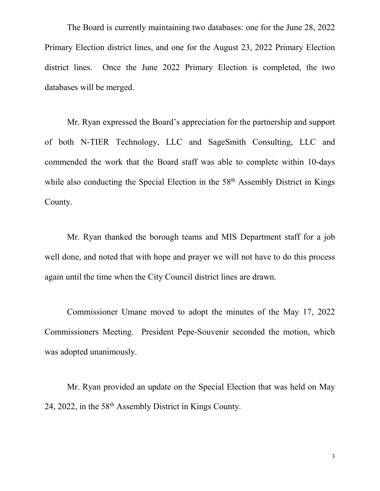The Board is currently maintaining two databases: one for the June 28, 2022 Primary Election district lines, and one for the August 23, 2022 Primary Election district lines. Once the June 2022 Primary Election is completed, the two databases will be merged.

Mr. Ryan expressed the Board's appreciation for the partnership and support of both N-TIER Technology, LLC and SageSmith Consulting, LLC and commended the work that the Board staff was able to complete within 10-days while also conducting the Special Election in the 58<sup>th</sup> Assembly District in Kings County.

Mr. Ryan thanked the borough teams and MIS Department staff for a job well done, and noted that with hope and prayer we will not have to do this process again until the time when the City Council district lines are drawn.

Commissioner Umane moved to adopt the minutes of the May 17, 2022 Commissioners Meeting. President Pepe-Souvenir seconded the motion, which was adopted unanimously.

Mr. Ryan provided an update on the Special Election that was held on May 24, 2022, in the 58th Assembly District in Kings County.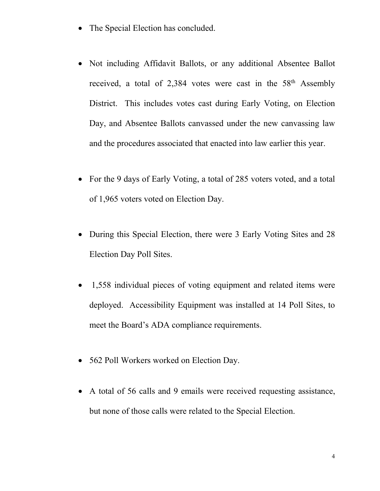- The Special Election has concluded.
- Not including Affidavit Ballots, or any additional Absentee Ballot received, a total of 2,384 votes were cast in the 58<sup>th</sup> Assembly District. This includes votes cast during Early Voting, on Election Day, and Absentee Ballots canvassed under the new canvassing law and the procedures associated that enacted into law earlier this year.
- For the 9 days of Early Voting, a total of 285 voters voted, and a total of 1,965 voters voted on Election Day.
- During this Special Election, there were 3 Early Voting Sites and 28 Election Day Poll Sites.
- 1,558 individual pieces of voting equipment and related items were deployed. Accessibility Equipment was installed at 14 Poll Sites, to meet the Board's ADA compliance requirements.
- 562 Poll Workers worked on Election Day.
- A total of 56 calls and 9 emails were received requesting assistance, but none of those calls were related to the Special Election.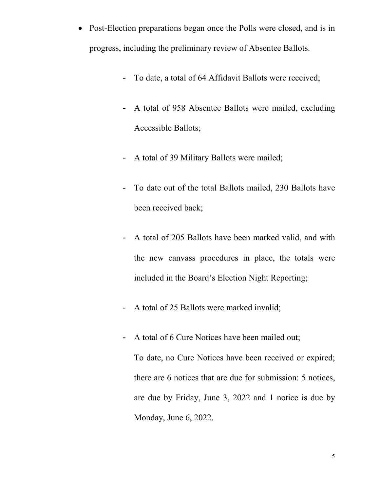- Post-Election preparations began once the Polls were closed, and is in progress, including the preliminary review of Absentee Ballots.
	- To date, a total of 64 Affidavit Ballots were received;
	- A total of 958 Absentee Ballots were mailed, excluding Accessible Ballots;
	- A total of 39 Military Ballots were mailed;
	- To date out of the total Ballots mailed, 230 Ballots have been received back;
	- A total of 205 Ballots have been marked valid, and with the new canvass procedures in place, the totals were included in the Board's Election Night Reporting;
	- A total of 25 Ballots were marked invalid;
	- A total of 6 Cure Notices have been mailed out; To date, no Cure Notices have been received or expired; there are 6 notices that are due for submission: 5 notices, are due by Friday, June 3, 2022 and 1 notice is due by Monday, June 6, 2022.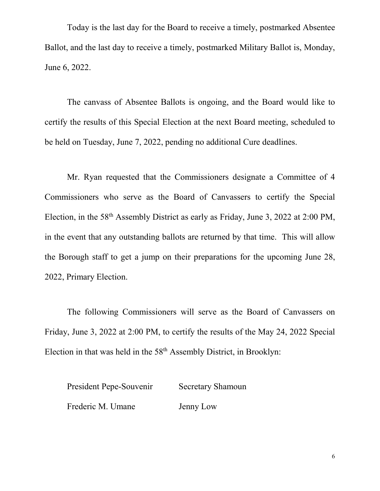Today is the last day for the Board to receive a timely, postmarked Absentee Ballot, and the last day to receive a timely, postmarked Military Ballot is, Monday, June 6, 2022.

The canvass of Absentee Ballots is ongoing, and the Board would like to certify the results of this Special Election at the next Board meeting, scheduled to be held on Tuesday, June 7, 2022, pending no additional Cure deadlines.

Mr. Ryan requested that the Commissioners designate a Committee of 4 Commissioners who serve as the Board of Canvassers to certify the Special Election, in the 58th Assembly District as early as Friday, June 3, 2022 at 2:00 PM, in the event that any outstanding ballots are returned by that time. This will allow the Borough staff to get a jump on their preparations for the upcoming June 28, 2022, Primary Election.

The following Commissioners will serve as the Board of Canvassers on Friday, June 3, 2022 at 2:00 PM, to certify the results of the May 24, 2022 Special Election in that was held in the 58th Assembly District, in Brooklyn:

| President Pepe-Souvenir | <b>Secretary Shamoun</b> |
|-------------------------|--------------------------|
| Frederic M. Umane       | Jenny Low                |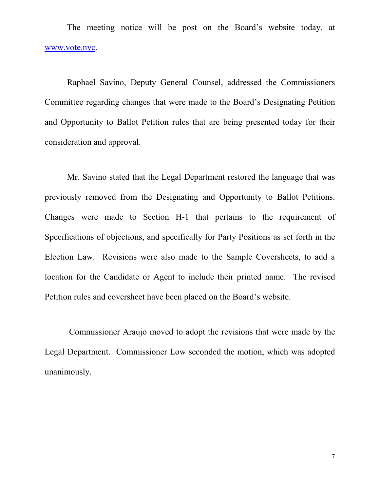The meeting notice will be post on the Board's website today, at [www.vote.nyc.](http://www.vote.nyc/)

Raphael Savino, Deputy General Counsel, addressed the Commissioners Committee regarding changes that were made to the Board's Designating Petition and Opportunity to Ballot Petition rules that are being presented today for their consideration and approval.

Mr. Savino stated that the Legal Department restored the language that was previously removed from the Designating and Opportunity to Ballot Petitions. Changes were made to Section H-1 that pertains to the requirement of Specifications of objections, and specifically for Party Positions as set forth in the Election Law. Revisions were also made to the Sample Coversheets, to add a location for the Candidate or Agent to include their printed name. The revised Petition rules and coversheet have been placed on the Board's website.

Commissioner Araujo moved to adopt the revisions that were made by the Legal Department. Commissioner Low seconded the motion, which was adopted unanimously.